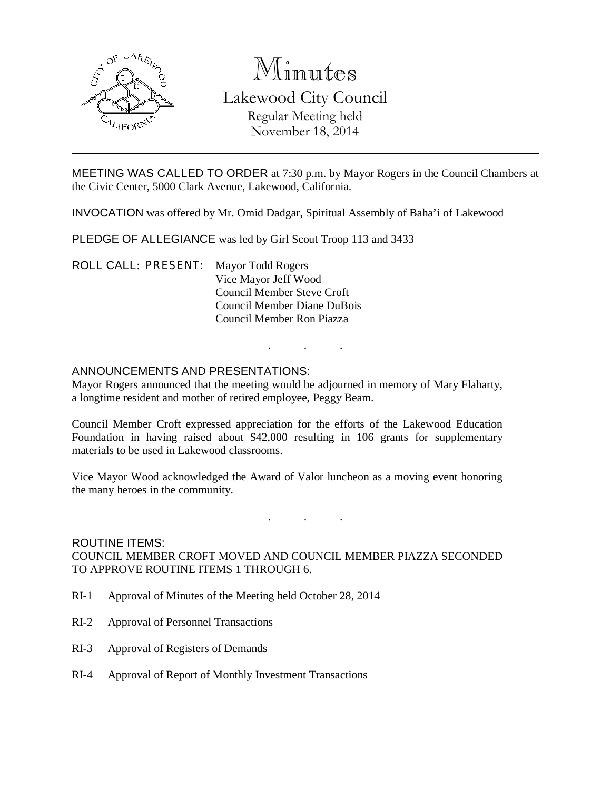

# Minutes Lakewood City Council Regular Meeting held November 18, 2014

MEETING WAS CALLED TO ORDER at 7:30 p.m. by Mayor Rogers in the Council Chambers at the Civic Center, 5000 Clark Avenue, Lakewood, California.

INVOCATION was offered by Mr. Omid Dadgar, Spiritual Assembly of Baha'i of Lakewood

PLEDGE OF ALLEGIANCE was led by Girl Scout Troop 113 and 3433

ROLL CALL: PRESENT: Mayor Todd Rogers Vice Mayor Jeff Wood Council Member Steve Croft Council Member Diane DuBois Council Member Ron Piazza

## ANNOUNCEMENTS AND PRESENTATIONS:

Mayor Rogers announced that the meeting would be adjourned in memory of Mary Flaharty, a longtime resident and mother of retired employee, Peggy Beam.

. . .

Council Member Croft expressed appreciation for the efforts of the Lakewood Education Foundation in having raised about \$42,000 resulting in 106 grants for supplementary materials to be used in Lakewood classrooms.

Vice Mayor Wood acknowledged the Award of Valor luncheon as a moving event honoring the many heroes in the community.

. . .

## ROUTINE ITEMS: COUNCIL MEMBER CROFT MOVED AND COUNCIL MEMBER PIAZZA SECONDED TO APPROVE ROUTINE ITEMS 1 THROUGH 6.

- RI-1 Approval of Minutes of the Meeting held October 28, 2014
- RI-2 Approval of Personnel Transactions
- RI-3 Approval of Registers of Demands
- RI-4 Approval of Report of Monthly Investment Transactions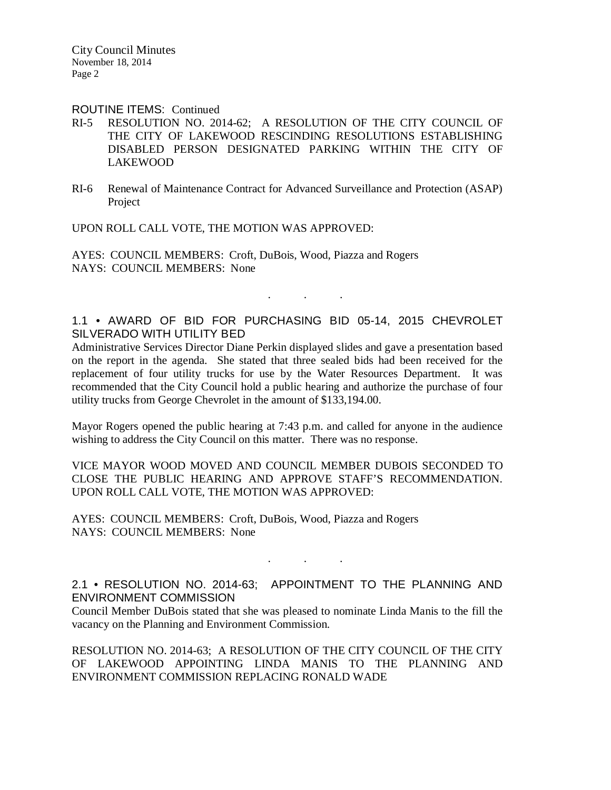City Council Minutes November 18, 2014 Page 2

#### ROUTINE ITEMS: Continued

- RI-5 RESOLUTION NO. 2014-62; A RESOLUTION OF THE CITY COUNCIL OF THE CITY OF LAKEWOOD RESCINDING RESOLUTIONS ESTABLISHING DISABLED PERSON DESIGNATED PARKING WITHIN THE CITY OF LAKEWOOD
- RI-6 Renewal of Maintenance Contract for Advanced Surveillance and Protection (ASAP) Project

UPON ROLL CALL VOTE, THE MOTION WAS APPROVED:

AYES: COUNCIL MEMBERS: Croft, DuBois, Wood, Piazza and Rogers NAYS: COUNCIL MEMBERS: None

# 1.1 • AWARD OF BID FOR PURCHASING BID 05-14, 2015 CHEVROLET SILVERADO WITH UTILITY BED

. . .

Administrative Services Director Diane Perkin displayed slides and gave a presentation based on the report in the agenda. She stated that three sealed bids had been received for the replacement of four utility trucks for use by the Water Resources Department. It was recommended that the City Council hold a public hearing and authorize the purchase of four utility trucks from George Chevrolet in the amount of \$133,194.00.

Mayor Rogers opened the public hearing at 7:43 p.m. and called for anyone in the audience wishing to address the City Council on this matter. There was no response.

VICE MAYOR WOOD MOVED AND COUNCIL MEMBER DUBOIS SECONDED TO CLOSE THE PUBLIC HEARING AND APPROVE STAFF'S RECOMMENDATION. UPON ROLL CALL VOTE, THE MOTION WAS APPROVED:

AYES: COUNCIL MEMBERS: Croft, DuBois, Wood, Piazza and Rogers NAYS: COUNCIL MEMBERS: None

# 2.1 • RESOLUTION NO. 2014-63; APPOINTMENT TO THE PLANNING AND ENVIRONMENT COMMISSION

. . .

Council Member DuBois stated that she was pleased to nominate Linda Manis to the fill the vacancy on the Planning and Environment Commission.

RESOLUTION NO. 2014-63; A RESOLUTION OF THE CITY COUNCIL OF THE CITY OF LAKEWOOD APPOINTING LINDA MANIS TO THE PLANNING AND ENVIRONMENT COMMISSION REPLACING RONALD WADE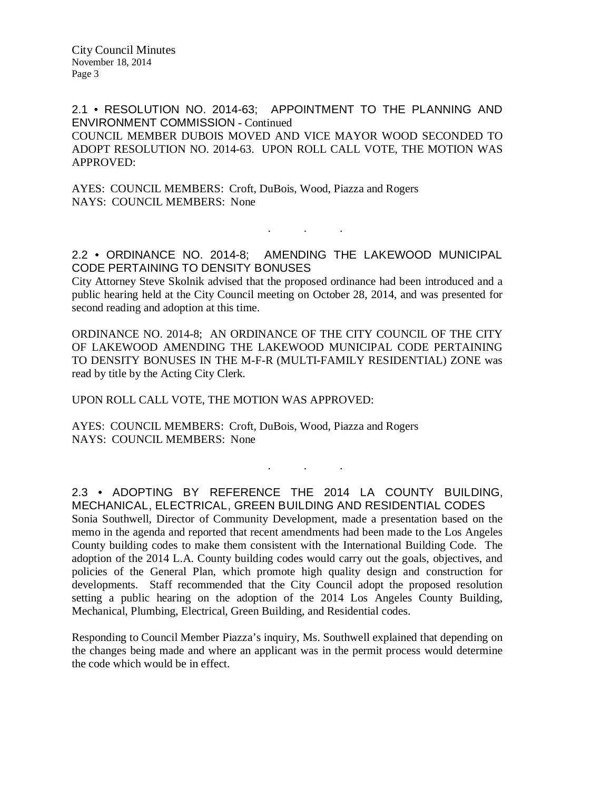City Council Minutes November 18, 2014 Page 3

2.1 • RESOLUTION NO. 2014-63; APPOINTMENT TO THE PLANNING AND ENVIRONMENT COMMISSION - Continued COUNCIL MEMBER DUBOIS MOVED AND VICE MAYOR WOOD SECONDED TO ADOPT RESOLUTION NO. 2014-63. UPON ROLL CALL VOTE, THE MOTION WAS APPROVED:

AYES: COUNCIL MEMBERS: Croft, DuBois, Wood, Piazza and Rogers NAYS: COUNCIL MEMBERS: None

2.2 • ORDINANCE NO. 2014-8; AMENDING THE LAKEWOOD MUNICIPAL CODE PERTAINING TO DENSITY BONUSES

. . .

City Attorney Steve Skolnik advised that the proposed ordinance had been introduced and a public hearing held at the City Council meeting on October 28, 2014, and was presented for second reading and adoption at this time.

ORDINANCE NO. 2014-8; AN ORDINANCE OF THE CITY COUNCIL OF THE CITY OF LAKEWOOD AMENDING THE LAKEWOOD MUNICIPAL CODE PERTAINING TO DENSITY BONUSES IN THE M-F-R (MULTI-FAMILY RESIDENTIAL) ZONE was read by title by the Acting City Clerk.

UPON ROLL CALL VOTE, THE MOTION WAS APPROVED:

AYES: COUNCIL MEMBERS: Croft, DuBois, Wood, Piazza and Rogers NAYS: COUNCIL MEMBERS: None

2.3 • ADOPTING BY REFERENCE THE 2014 LA COUNTY BUILDING, MECHANICAL, ELECTRICAL, GREEN BUILDING AND RESIDENTIAL CODES Sonia Southwell, Director of Community Development, made a presentation based on the memo in the agenda and reported that recent amendments had been made to the Los Angeles County building codes to make them consistent with the International Building Code. The adoption of the 2014 L.A. County building codes would carry out the goals, objectives, and policies of the General Plan, which promote high quality design and construction for developments. Staff recommended that the City Council adopt the proposed resolution setting a public hearing on the adoption of the 2014 Los Angeles County Building, Mechanical, Plumbing, Electrical, Green Building, and Residential codes.

. . .

Responding to Council Member Piazza's inquiry, Ms. Southwell explained that depending on the changes being made and where an applicant was in the permit process would determine the code which would be in effect.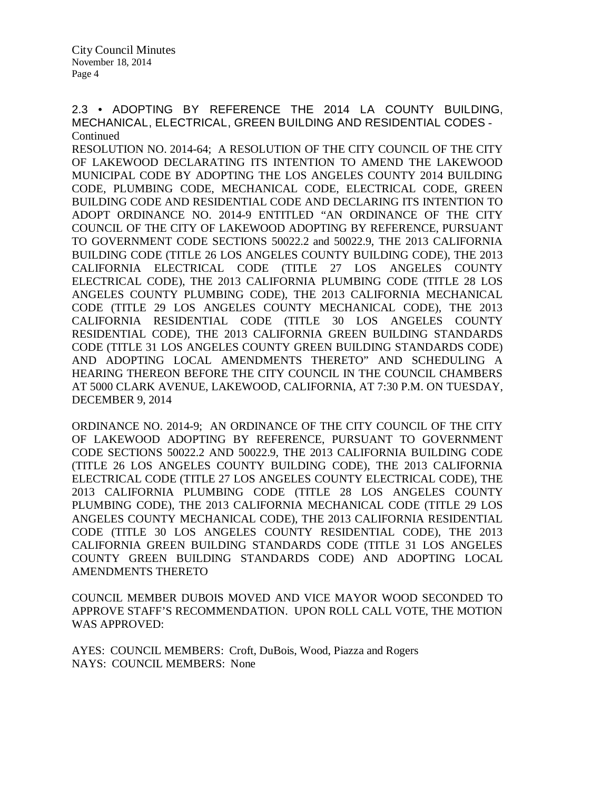2.3 • ADOPTING BY REFERENCE THE 2014 LA COUNTY BUILDING, MECHANICAL, ELECTRICAL, GREEN BUILDING AND RESIDENTIAL CODES - **Continued** 

RESOLUTION NO. 2014-64; A RESOLUTION OF THE CITY COUNCIL OF THE CITY OF LAKEWOOD DECLARATING ITS INTENTION TO AMEND THE LAKEWOOD MUNICIPAL CODE BY ADOPTING THE LOS ANGELES COUNTY 2014 BUILDING CODE, PLUMBING CODE, MECHANICAL CODE, ELECTRICAL CODE, GREEN BUILDING CODE AND RESIDENTIAL CODE AND DECLARING ITS INTENTION TO ADOPT ORDINANCE NO. 2014-9 ENTITLED "AN ORDINANCE OF THE CITY COUNCIL OF THE CITY OF LAKEWOOD ADOPTING BY REFERENCE, PURSUANT TO GOVERNMENT CODE SECTIONS 50022.2 and 50022.9, THE 2013 CALIFORNIA BUILDING CODE (TITLE 26 LOS ANGELES COUNTY BUILDING CODE), THE 2013 CALIFORNIA ELECTRICAL CODE (TITLE 27 LOS ANGELES COUNTY ELECTRICAL CODE), THE 2013 CALIFORNIA PLUMBING CODE (TITLE 28 LOS ANGELES COUNTY PLUMBING CODE), THE 2013 CALIFORNIA MECHANICAL CODE (TITLE 29 LOS ANGELES COUNTY MECHANICAL CODE), THE 2013 CALIFORNIA RESIDENTIAL CODE (TITLE 30 LOS ANGELES COUNTY RESIDENTIAL CODE), THE 2013 CALIFORNIA GREEN BUILDING STANDARDS CODE (TITLE 31 LOS ANGELES COUNTY GREEN BUILDING STANDARDS CODE) AND ADOPTING LOCAL AMENDMENTS THERETO" AND SCHEDULING A HEARING THEREON BEFORE THE CITY COUNCIL IN THE COUNCIL CHAMBERS AT 5000 CLARK AVENUE, LAKEWOOD, CALIFORNIA, AT 7:30 P.M. ON TUESDAY, DECEMBER 9, 2014

ORDINANCE NO. 2014-9; AN ORDINANCE OF THE CITY COUNCIL OF THE CITY OF LAKEWOOD ADOPTING BY REFERENCE, PURSUANT TO GOVERNMENT CODE SECTIONS 50022.2 AND 50022.9, THE 2013 CALIFORNIA BUILDING CODE (TITLE 26 LOS ANGELES COUNTY BUILDING CODE), THE 2013 CALIFORNIA ELECTRICAL CODE (TITLE 27 LOS ANGELES COUNTY ELECTRICAL CODE), THE 2013 CALIFORNIA PLUMBING CODE (TITLE 28 LOS ANGELES COUNTY PLUMBING CODE), THE 2013 CALIFORNIA MECHANICAL CODE (TITLE 29 LOS ANGELES COUNTY MECHANICAL CODE), THE 2013 CALIFORNIA RESIDENTIAL CODE (TITLE 30 LOS ANGELES COUNTY RESIDENTIAL CODE), THE 2013 CALIFORNIA GREEN BUILDING STANDARDS CODE (TITLE 31 LOS ANGELES COUNTY GREEN BUILDING STANDARDS CODE) AND ADOPTING LOCAL AMENDMENTS THERETO

COUNCIL MEMBER DUBOIS MOVED AND VICE MAYOR WOOD SECONDED TO APPROVE STAFF'S RECOMMENDATION. UPON ROLL CALL VOTE, THE MOTION WAS APPROVED:

AYES: COUNCIL MEMBERS: Croft, DuBois, Wood, Piazza and Rogers NAYS: COUNCIL MEMBERS: None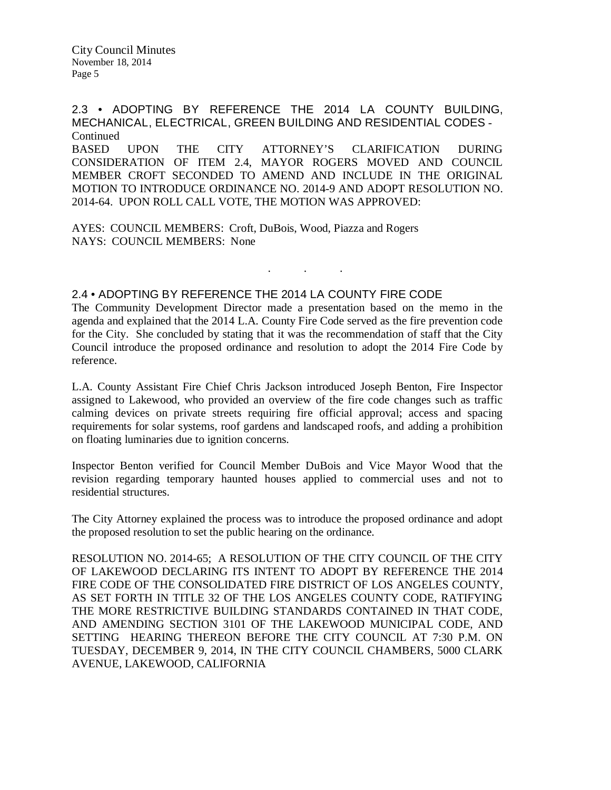2.3 • ADOPTING BY REFERENCE THE 2014 LA COUNTY BUILDING, MECHANICAL, ELECTRICAL, GREEN BUILDING AND RESIDENTIAL CODES - Continued BASED UPON THE CITY ATTORNEY'S CLARIFICATION DURING CONSIDERATION OF ITEM 2.4, MAYOR ROGERS MOVED AND COUNCIL MEMBER CROFT SECONDED TO AMEND AND INCLUDE IN THE ORIGINAL MOTION TO INTRODUCE ORDINANCE NO. 2014-9 AND ADOPT RESOLUTION NO. 2014-64. UPON ROLL CALL VOTE, THE MOTION WAS APPROVED:

AYES: COUNCIL MEMBERS: Croft, DuBois, Wood, Piazza and Rogers NAYS: COUNCIL MEMBERS: None

# 2.4 • ADOPTING BY REFERENCE THE 2014 LA COUNTY FIRE CODE

The Community Development Director made a presentation based on the memo in the agenda and explained that the 2014 L.A. County Fire Code served as the fire prevention code for the City. She concluded by stating that it was the recommendation of staff that the City Council introduce the proposed ordinance and resolution to adopt the 2014 Fire Code by reference.

. . .

L.A. County Assistant Fire Chief Chris Jackson introduced Joseph Benton, Fire Inspector assigned to Lakewood, who provided an overview of the fire code changes such as traffic calming devices on private streets requiring fire official approval; access and spacing requirements for solar systems, roof gardens and landscaped roofs, and adding a prohibition on floating luminaries due to ignition concerns.

Inspector Benton verified for Council Member DuBois and Vice Mayor Wood that the revision regarding temporary haunted houses applied to commercial uses and not to residential structures.

The City Attorney explained the process was to introduce the proposed ordinance and adopt the proposed resolution to set the public hearing on the ordinance.

RESOLUTION NO. 2014-65; A RESOLUTION OF THE CITY COUNCIL OF THE CITY OF LAKEWOOD DECLARING ITS INTENT TO ADOPT BY REFERENCE THE 2014 FIRE CODE OF THE CONSOLIDATED FIRE DISTRICT OF LOS ANGELES COUNTY, AS SET FORTH IN TITLE 32 OF THE LOS ANGELES COUNTY CODE, RATIFYING THE MORE RESTRICTIVE BUILDING STANDARDS CONTAINED IN THAT CODE, AND AMENDING SECTION 3101 OF THE LAKEWOOD MUNICIPAL CODE, AND SETTING HEARING THEREON BEFORE THE CITY COUNCIL AT 7:30 P.M. ON TUESDAY, DECEMBER 9, 2014, IN THE CITY COUNCIL CHAMBERS, 5000 CLARK AVENUE, LAKEWOOD, CALIFORNIA